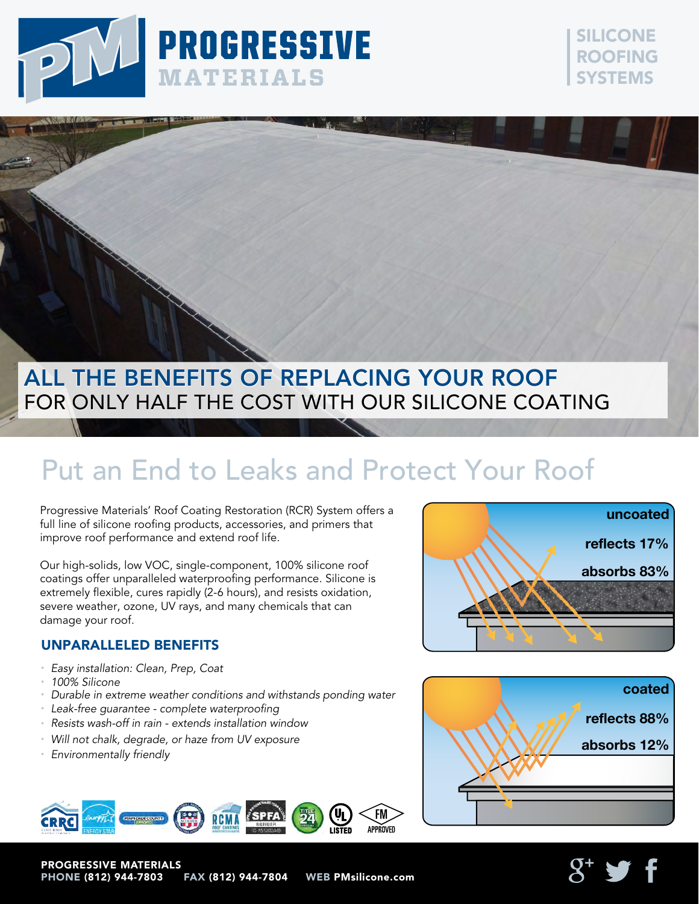





# Put an End to Leaks and Protect Your Roof

Progressive Materials' Roof Coating Restoration (RCR) System offers a full line of silicone roofing products, accessories, and primers that improve roof performance and extend roof life.

Our high-solids, low VOC, single-component, 100% silicone roof coatings offer unparalleled waterproofing performance. Silicone is extremely flexible, cures rapidly (2-6 hours), and resists oxidation, severe weather, ozone, UV rays, and many chemicals that can damage your roof.

### UNPARALLELED BENEFITS

- *Easy installation: Clean, Prep, Coat*
- *100% Silicone*
- *Durable in extreme weather conditions and withstands ponding water*
- *Leak-free guarantee complete waterproofing*
- *Resists wash-off in rain extends installation window*
- *Will not chalk, degrade, or haze from UV exposure*
- *Environmentally friendly*

PROGRESSIVE MATERIALS



PHONE (812) 944-7803 FAX (812) 944-7804 WEB PMsilicone.com